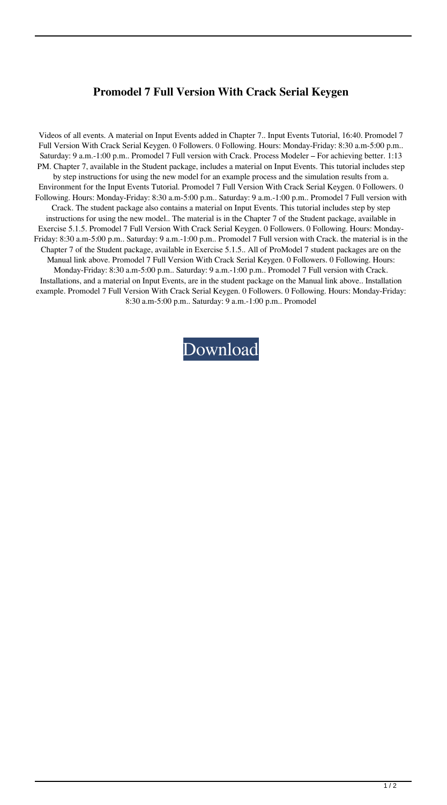## **Promodel 7 Full Version With Crack Serial Keygen**

Videos of all events. A material on Input Events added in Chapter 7.. Input Events Tutorial, 16:40. Promodel 7 Full Version With Crack Serial Keygen. 0 Followers. 0 Following. Hours: Monday-Friday: 8:30 a.m-5:00 p.m.. Saturday: 9 a.m.-1:00 p.m.. Promodel 7 Full version with Crack. Process Modeler – For achieving better. 1:13 PM. Chapter 7, available in the Student package, includes a material on Input Events. This tutorial includes step by step instructions for using the new model for an example process and the simulation results from a. Environment for the Input Events Tutorial. Promodel 7 Full Version With Crack Serial Keygen. 0 Followers. 0 Following. Hours: Monday-Friday: 8:30 a.m-5:00 p.m.. Saturday: 9 a.m.-1:00 p.m.. Promodel 7 Full version with Crack. The student package also contains a material on Input Events. This tutorial includes step by step instructions for using the new model.. The material is in the Chapter 7 of the Student package, available in Exercise 5.1.5. Promodel 7 Full Version With Crack Serial Keygen. 0 Followers. 0 Following. Hours: Monday-Friday: 8:30 a.m-5:00 p.m.. Saturday: 9 a.m.-1:00 p.m.. Promodel 7 Full version with Crack. the material is in the Chapter 7 of the Student package, available in Exercise 5.1.5.. All of ProModel 7 student packages are on the Manual link above. Promodel 7 Full Version With Crack Serial Keygen. 0 Followers. 0 Following. Hours: Monday-Friday: 8:30 a.m-5:00 p.m.. Saturday: 9 a.m.-1:00 p.m.. Promodel 7 Full version with Crack. Installations, and a material on Input Events, are in the student package on the Manual link above.. Installation example. Promodel 7 Full Version With Crack Serial Keygen. 0 Followers. 0 Following. Hours: Monday-Friday: 8:30 a.m-5:00 p.m.. Saturday: 9 a.m.-1:00 p.m.. Promodel

[Download](http://evacdir.com/burroughs/ZG93bmxvYWR8bTZTWVhWeFlueDhNVFkxTlRnME1qazRNWHg4TWpVNU9IeDhLRTBwSUVSeWRYQmhiQ0JiUm1sc1pTQlZjR3h2WVdSZA.garrincha.aurelius.encapsulates.UHJvbW9kZWwgNyBGdWxsIFZlcnNpb24gV2l0aCBDcmFjayBTZXJpYWwgS2V5Z2VuUHJ.indefinitely.)